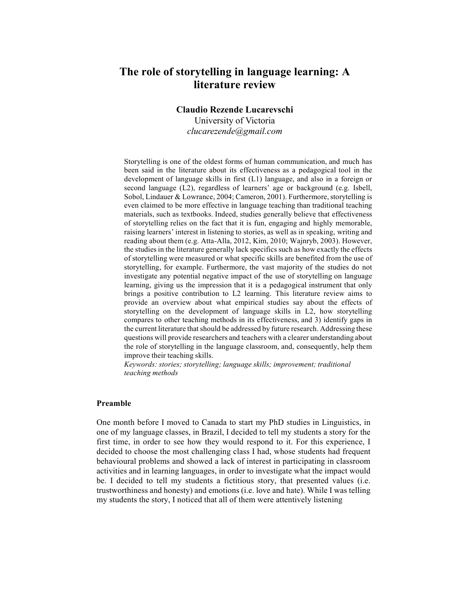# **The role of storytelling in language learning: A literature review**

**Claudio Rezende Lucarevschi** 

University of Victoria *clucarezende@gmail.com*

Storytelling is one of the oldest forms of human communication, and much has been said in the literature about its effectiveness as a pedagogical tool in the development of language skills in first (L1) language, and also in a foreign or second language (L2), regardless of learners' age or background (e.g. Isbell, Sobol, Lindauer & Lowrance, 2004; Cameron, 2001). Furthermore, storytelling is even claimed to be more effective in language teaching than traditional teaching materials, such as textbooks. Indeed, studies generally believe that effectiveness of storytelling relies on the fact that it is fun, engaging and highly memorable, raising learners' interest in listening to stories, as well as in speaking, writing and reading about them (e.g. Atta-Alla, 2012, Kim, 2010; Wajnryb, 2003). However, the studiesin the literature generally lack specifics such as how exactly the effects of storytelling were measured or what specific skills are benefited from the use of storytelling, for example. Furthermore, the vast majority of the studies do not investigate any potential negative impact of the use of storytelling on language learning, giving us the impression that it is a pedagogical instrument that only brings a positive contribution to L2 learning. This literature review aims to provide an overview about what empirical studies say about the effects of storytelling on the development of language skills in L2, how storytelling compares to other teaching methods in its effectiveness, and 3) identify gaps in the current literature that should be addressed by future research. Addressing these questions will provide researchers and teachers with a clearer understanding about the role of storytelling in the language classroom, and, consequently, help them improve their teaching skills.

*Keywords: stories; storytelling; language skills; improvement; traditional teaching methods*

## **Preamble**

One month before I moved to Canada to start my PhD studies in Linguistics, in one of my language classes, in Brazil, I decided to tell my students a story for the first time, in order to see how they would respond to it. For this experience, I decided to choose the most challenging class I had, whose students had frequent behavioural problems and showed a lack of interest in participating in classroom activities and in learning languages, in order to investigate what the impact would be. I decided to tell my students a fictitious story, that presented values (i.e. trustworthiness and honesty) and emotions (i.e. love and hate). While I was telling my students the story, I noticed that all of them were attentively listening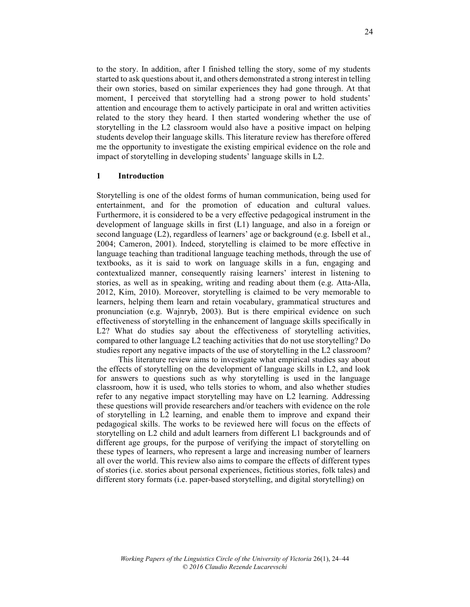to the story. In addition, after I finished telling the story, some of my students started to ask questions about it, and others demonstrated a strong interest in telling their own stories, based on similar experiences they had gone through. At that moment, I perceived that storytelling had a strong power to hold students' attention and encourage them to actively participate in oral and written activities related to the story they heard. I then started wondering whether the use of storytelling in the L2 classroom would also have a positive impact on helping students develop their language skills. This literature review has therefore offered me the opportunity to investigate the existing empirical evidence on the role and impact of storytelling in developing students' language skills in L2.

#### **1 Introduction**

Storytelling is one of the oldest forms of human communication, being used for entertainment, and for the promotion of education and cultural values. Furthermore, it is considered to be a very effective pedagogical instrument in the development of language skills in first (L1) language, and also in a foreign or second language (L2), regardless of learners' age or background (e.g. Isbell et al., 2004; Cameron, 2001). Indeed, storytelling is claimed to be more effective in language teaching than traditional language teaching methods, through the use of textbooks, as it is said to work on language skills in a fun, engaging and contextualized manner, consequently raising learners' interest in listening to stories, as well as in speaking, writing and reading about them (e.g. Atta-Alla, 2012, Kim, 2010). Moreover, storytelling is claimed to be very memorable to learners, helping them learn and retain vocabulary, grammatical structures and pronunciation (e.g. Wajnryb, 2003). But is there empirical evidence on such effectiveness of storytelling in the enhancement of language skills specifically in L2? What do studies say about the effectiveness of storytelling activities, compared to other language L2 teaching activities that do not use storytelling? Do studies report any negative impacts of the use of storytelling in the L2 classroom?

This literature review aims to investigate what empirical studies say about the effects of storytelling on the development of language skills in L2, and look for answers to questions such as why storytelling is used in the language classroom, how it is used, who tells stories to whom, and also whether studies refer to any negative impact storytelling may have on L2 learning. Addressing these questions will provide researchers and/or teachers with evidence on the role of storytelling in L2 learning, and enable them to improve and expand their pedagogical skills. The works to be reviewed here will focus on the effects of storytelling on L2 child and adult learners from different L1 backgrounds and of different age groups, for the purpose of verifying the impact of storytelling on these types of learners, who represent a large and increasing number of learners all over the world. This review also aims to compare the effects of different types of stories (i.e. stories about personal experiences, fictitious stories, folk tales) and different story formats (i.e. paper-based storytelling, and digital storytelling) on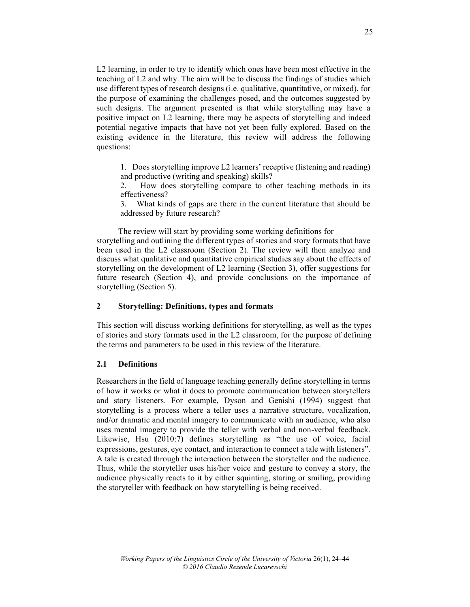L2 learning, in order to try to identify which ones have been most effective in the teaching of L2 and why. The aim will be to discuss the findings of studies which use different types of research designs (i.e. qualitative, quantitative, or mixed), for the purpose of examining the challenges posed, and the outcomes suggested by such designs. The argument presented is that while storytelling may have a positive impact on L2 learning, there may be aspects of storytelling and indeed potential negative impacts that have not yet been fully explored. Based on the existing evidence in the literature, this review will address the following questions:

1. Does storytelling improve L2 learners' receptive (listening and reading) and productive (writing and speaking) skills?

2. How does storytelling compare to other teaching methods in its effectiveness?

3. What kinds of gaps are there in the current literature that should be addressed by future research?

The review will start by providing some working definitions for storytelling and outlining the different types of stories and story formats that have been used in the L2 classroom (Section 2). The review will then analyze and discuss what qualitative and quantitative empirical studies say about the effects of storytelling on the development of L2 learning (Section 3), offer suggestions for future research (Section 4), and provide conclusions on the importance of storytelling (Section 5).

## **2 Storytelling: Definitions, types and formats**

This section will discuss working definitions for storytelling, as well as the types of stories and story formats used in the L2 classroom, for the purpose of defining the terms and parameters to be used in this review of the literature.

#### **2.1 Definitions**

Researchers in the field of language teaching generally define storytelling in terms of how it works or what it does to promote communication between storytellers and story listeners. For example, Dyson and Genishi (1994) suggest that storytelling is a process where a teller uses a narrative structure, vocalization, and/or dramatic and mental imagery to communicate with an audience, who also uses mental imagery to provide the teller with verbal and non-verbal feedback. Likewise, Hsu (2010:7) defines storytelling as "the use of voice, facial expressions, gestures, eye contact, and interaction to connect a tale with listeners". A tale is created through the interaction between the storyteller and the audience. Thus, while the storyteller uses his/her voice and gesture to convey a story, the audience physically reacts to it by either squinting, staring or smiling, providing the storyteller with feedback on how storytelling is being received.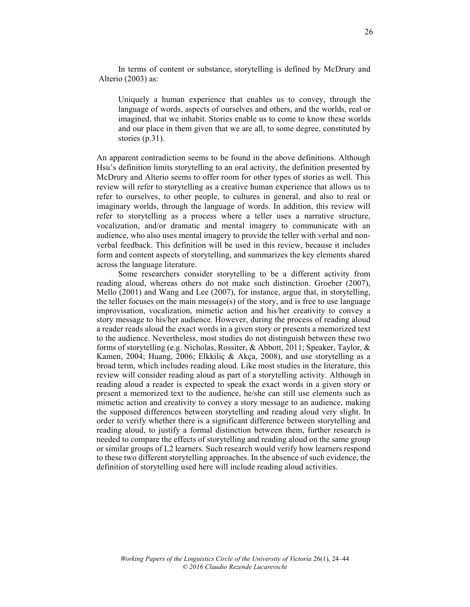In terms of content or substance, storytelling is defined by McDrury and Alterio (2003) as:

Uniquely a human experience that enables us to convey, through the language of words, aspects of ourselves and others, and the worlds, real or imagined, that we inhabit. Stories enable us to come to know these worlds and our place in them given that we are all, to some degree, constituted by stories (p.31).

An apparent contradiction seems to be found in the above definitions. Although Hsu's definition limits storytelling to an oral activity, the definition presented by McDrury and Alterio seems to offer room for other types of stories as well. This review will refer to storytelling as a creative human experience that allows us to refer to ourselves, to other people, to cultures in general, and also to real or imaginary worlds, through the language of words. In addition, this review will refer to storytelling as a process where a teller uses a narrative structure, vocalization, and/or dramatic and mental imagery to communicate with an audience, who also uses mental imagery to provide the teller with verbal and nonverbal feedback. This definition will be used in this review, because it includes form and content aspects of storytelling, and summarizes the key elements shared across the language literature.

Some researchers consider storytelling to be a different activity from reading aloud, whereas others do not make such distinction. Groeber (2007), Mello (2001) and Wang and Lee (2007), for instance, argue that, in storytelling, the teller focuses on the main message(s) of the story, and is free to use language improvisation, vocalization, mimetic action and his/her creativity to convey a story message to his/her audience. However, during the process of reading aloud a reader reads aloud the exact words in a given story or presents a memorized text to the audience. Nevertheless, most studies do not distinguish between these two forms of storytelling (e.g. Nicholas, Rossiter, & Abbott, 2011; Speaker, Taylor, & Kamen, 2004; Huang, 2006; Elkkiliç & Akça, 2008), and use storytelling as a broad term, which includes reading aloud. Like most studies in the literature, this review will consider reading aloud as part of a storytelling activity. Although in reading aloud a reader is expected to speak the exact words in a given story or present a memorized text to the audience, he/she can still use elements such as mimetic action and creativity to convey a story message to an audience, making the supposed differences between storytelling and reading aloud very slight. In order to verify whether there is a significant difference between storytelling and reading aloud, to justify a formal distinction between them, further research is needed to compare the effects of storytelling and reading aloud on the same group or similar groups of L2 learners. Such research would verify how learners respond to these two different storytelling approaches. In the absence of such evidence, the definition of storytelling used here will include reading aloud activities.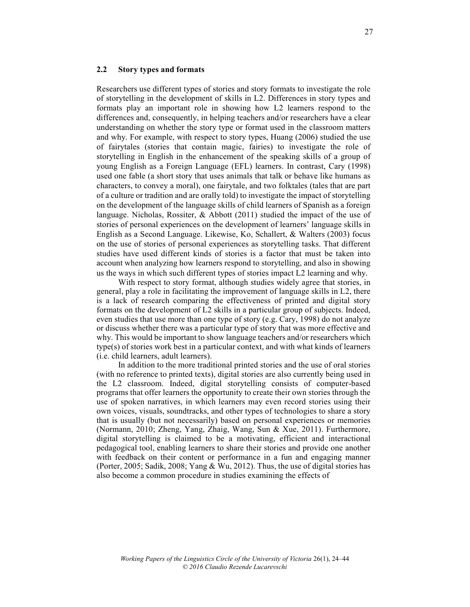#### **2.2 Story types and formats**

Researchers use different types of stories and story formats to investigate the role of storytelling in the development of skills in L2. Differences in story types and formats play an important role in showing how L2 learners respond to the differences and, consequently, in helping teachers and/or researchers have a clear understanding on whether the story type or format used in the classroom matters and why. For example, with respect to story types, Huang (2006) studied the use of fairytales (stories that contain magic, fairies) to investigate the role of storytelling in English in the enhancement of the speaking skills of a group of young English as a Foreign Language (EFL) learners. In contrast, Cary (1998) used one fable (a short story that uses animals that talk or behave like humans as characters, to convey a moral), one fairytale, and two folktales (tales that are part of a culture or tradition and are orally told) to investigate the impact of storytelling on the development of the language skills of child learners of Spanish as a foreign language. Nicholas, Rossiter, & Abbott (2011) studied the impact of the use of stories of personal experiences on the development of learners' language skills in English as a Second Language. Likewise, Ko, Schallert, & Walters (2003) focus on the use of stories of personal experiences as storytelling tasks. That different studies have used different kinds of stories is a factor that must be taken into account when analyzing how learners respond to storytelling, and also in showing us the ways in which such different types of stories impact L2 learning and why.

With respect to story format, although studies widely agree that stories, in general, play a role in facilitating the improvement of language skills in L2, there is a lack of research comparing the effectiveness of printed and digital story formats on the development of L2 skills in a particular group of subjects. Indeed, even studies that use more than one type of story (e.g. Cary, 1998) do not analyze or discuss whether there was a particular type of story that was more effective and why. This would be important to show language teachers and/or researchers which type(s) of stories work best in a particular context, and with what kinds of learners (i.e. child learners, adult learners).

In addition to the more traditional printed stories and the use of oral stories (with no reference to printed texts), digital stories are also currently being used in the L2 classroom. Indeed, digital storytelling consists of computer-based programs that offer learners the opportunity to create their own stories through the use of spoken narratives, in which learners may even record stories using their own voices, visuals, soundtracks, and other types of technologies to share a story that is usually (but not necessarily) based on personal experiences or memories (Normann, 2010; Zheng, Yang, Zhaig, Wang, Sun & Xue, 2011). Furthermore, digital storytelling is claimed to be a motivating, efficient and interactional pedagogical tool, enabling learners to share their stories and provide one another with feedback on their content or performance in a fun and engaging manner (Porter, 2005; Sadik, 2008; Yang & Wu, 2012). Thus, the use of digital stories has also become a common procedure in studies examining the effects of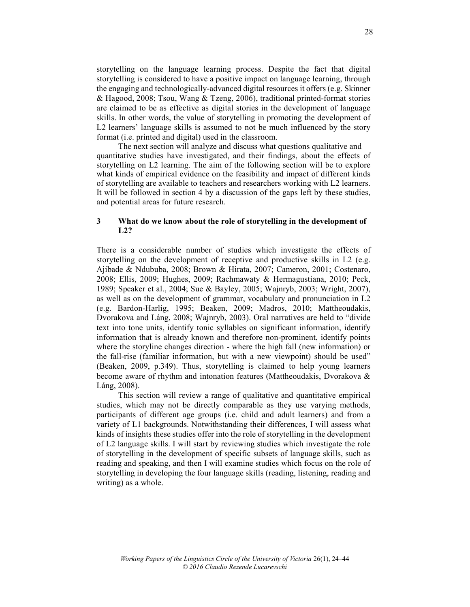storytelling on the language learning process. Despite the fact that digital storytelling is considered to have a positive impact on language learning, through the engaging and technologically-advanced digital resources it offers (e.g. Skinner & Hagood, 2008; Tsou, Wang & Tzeng, 2006), traditional printed-format stories are claimed to be as effective as digital stories in the development of language skills. In other words, the value of storytelling in promoting the development of L2 learners' language skills is assumed to not be much influenced by the story format (i.e. printed and digital) used in the classroom.

The next section will analyze and discuss what questions qualitative and quantitative studies have investigated, and their findings, about the effects of storytelling on L2 learning. The aim of the following section will be to explore what kinds of empirical evidence on the feasibility and impact of different kinds of storytelling are available to teachers and researchers working with L2 learners. It will be followed in section 4 by a discussion of the gaps left by these studies, and potential areas for future research.

## **3 What do we know about the role of storytelling in the development of L2?**

There is a considerable number of studies which investigate the effects of storytelling on the development of receptive and productive skills in L2 (e.g. Ajibade & Ndububa, 2008; Brown & Hirata, 2007; Cameron, 2001; Costenaro, 2008; Ellis, 2009; Hughes, 2009; Rachmawaty & Hermagustiana, 2010; Peck, 1989; Speaker et al., 2004; Sue & Bayley, 2005; Wajnryb, 2003; Wright, 2007), as well as on the development of grammar, vocabulary and pronunciation in L2 (e.g. Bardon-Harlig, 1995; Beaken, 2009; Madros, 2010; Mattheoudakis, Dvorakova and Láng, 2008; Wajnryb, 2003). Oral narratives are held to "divide text into tone units, identify tonic syllables on significant information, identify information that is already known and therefore non-prominent, identify points where the storyline changes direction - where the high fall (new information) or the fall-rise (familiar information, but with a new viewpoint) should be used" (Beaken, 2009, p.349). Thus, storytelling is claimed to help young learners become aware of rhythm and intonation features (Mattheoudakis, Dvorakova & Láng, 2008).

This section will review a range of qualitative and quantitative empirical studies, which may not be directly comparable as they use varying methods, participants of different age groups (i.e. child and adult learners) and from a variety of L1 backgrounds. Notwithstanding their differences, I will assess what kinds of insights these studies offer into the role of storytelling in the development of L2 language skills. I will start by reviewing studies which investigate the role of storytelling in the development of specific subsets of language skills, such as reading and speaking, and then I will examine studies which focus on the role of storytelling in developing the four language skills (reading, listening, reading and writing) as a whole.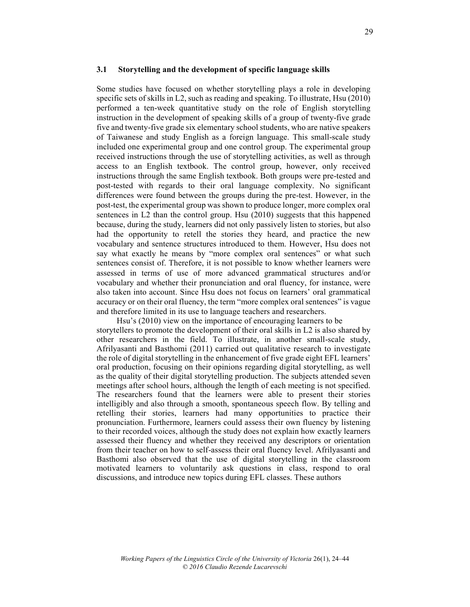#### **3.1 Storytelling and the development of specific language skills**

Some studies have focused on whether storytelling plays a role in developing specific sets of skills in L2, such as reading and speaking. To illustrate, Hsu (2010) performed a ten-week quantitative study on the role of English storytelling instruction in the development of speaking skills of a group of twenty-five grade five and twenty-five grade six elementary school students, who are native speakers of Taiwanese and study English as a foreign language. This small-scale study included one experimental group and one control group. The experimental group received instructions through the use of storytelling activities, as well as through access to an English textbook. The control group, however, only received instructions through the same English textbook. Both groups were pre-tested and post-tested with regards to their oral language complexity. No significant differences were found between the groups during the pre-test. However, in the post-test, the experimental group was shown to produce longer, more complex oral sentences in L2 than the control group. Hsu (2010) suggests that this happened because, during the study, learners did not only passively listen to stories, but also had the opportunity to retell the stories they heard, and practice the new vocabulary and sentence structures introduced to them. However, Hsu does not say what exactly he means by "more complex oral sentences" or what such sentences consist of. Therefore, it is not possible to know whether learners were assessed in terms of use of more advanced grammatical structures and/or vocabulary and whether their pronunciation and oral fluency, for instance, were also taken into account. Since Hsu does not focus on learners' oral grammatical accuracy or on their oral fluency, the term "more complex oral sentences" is vague and therefore limited in its use to language teachers and researchers.

Hsu's (2010) view on the importance of encouraging learners to be storytellers to promote the development of their oral skills in L2 is also shared by other researchers in the field. To illustrate, in another small-scale study, Afrilyasanti and Basthomi (2011) carried out qualitative research to investigate the role of digital storytelling in the enhancement of five grade eight EFL learners' oral production, focusing on their opinions regarding digital storytelling, as well as the quality of their digital storytelling production. The subjects attended seven meetings after school hours, although the length of each meeting is not specified. The researchers found that the learners were able to present their stories intelligibly and also through a smooth, spontaneous speech flow. By telling and retelling their stories, learners had many opportunities to practice their pronunciation. Furthermore, learners could assess their own fluency by listening to their recorded voices, although the study does not explain how exactly learners assessed their fluency and whether they received any descriptors or orientation from their teacher on how to self-assess their oral fluency level. Afrilyasanti and Basthomi also observed that the use of digital storytelling in the classroom motivated learners to voluntarily ask questions in class, respond to oral discussions, and introduce new topics during EFL classes. These authors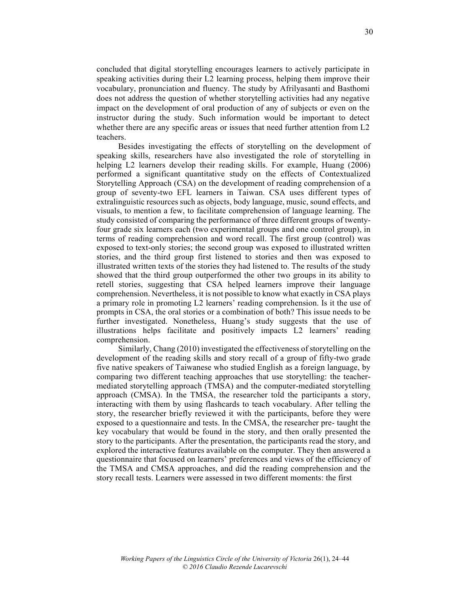concluded that digital storytelling encourages learners to actively participate in speaking activities during their L2 learning process, helping them improve their vocabulary, pronunciation and fluency. The study by Afrilyasanti and Basthomi does not address the question of whether storytelling activities had any negative impact on the development of oral production of any of subjects or even on the instructor during the study. Such information would be important to detect whether there are any specific areas or issues that need further attention from L2 teachers.

Besides investigating the effects of storytelling on the development of speaking skills, researchers have also investigated the role of storytelling in helping L2 learners develop their reading skills. For example, Huang (2006) performed a significant quantitative study on the effects of Contextualized Storytelling Approach (CSA) on the development of reading comprehension of a group of seventy-two EFL learners in Taiwan. CSA uses different types of extralinguistic resources such as objects, body language, music, sound effects, and visuals, to mention a few, to facilitate comprehension of language learning. The study consisted of comparing the performance of three different groups of twentyfour grade six learners each (two experimental groups and one control group), in terms of reading comprehension and word recall. The first group (control) was exposed to text-only stories; the second group was exposed to illustrated written stories, and the third group first listened to stories and then was exposed to illustrated written texts of the stories they had listened to. The results of the study showed that the third group outperformed the other two groups in its ability to retell stories, suggesting that CSA helped learners improve their language comprehension. Nevertheless, it is not possible to know what exactly in CSA plays a primary role in promoting L2 learners' reading comprehension. Is it the use of prompts in CSA, the oral stories or a combination of both? This issue needs to be further investigated. Nonetheless, Huang's study suggests that the use of illustrations helps facilitate and positively impacts L2 learners' reading comprehension.

Similarly, Chang (2010) investigated the effectiveness of storytelling on the development of the reading skills and story recall of a group of fifty-two grade five native speakers of Taiwanese who studied English as a foreign language, by comparing two different teaching approaches that use storytelling: the teachermediated storytelling approach (TMSA) and the computer-mediated storytelling approach (CMSA). In the TMSA, the researcher told the participants a story, interacting with them by using flashcards to teach vocabulary. After telling the story, the researcher briefly reviewed it with the participants, before they were exposed to a questionnaire and tests. In the CMSA, the researcher pre- taught the key vocabulary that would be found in the story, and then orally presented the story to the participants. After the presentation, the participants read the story, and explored the interactive features available on the computer. They then answered a questionnaire that focused on learners' preferences and views of the efficiency of the TMSA and CMSA approaches, and did the reading comprehension and the story recall tests. Learners were assessed in two different moments: the first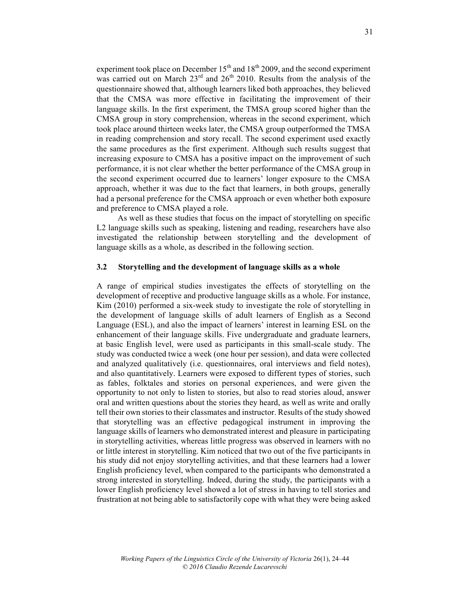experiment took place on December  $15<sup>th</sup>$  and  $18<sup>th</sup>$  2009, and the second experiment was carried out on March  $23<sup>rd</sup>$  and  $26<sup>th</sup>$  2010. Results from the analysis of the questionnaire showed that, although learners liked both approaches, they believed that the CMSA was more effective in facilitating the improvement of their language skills. In the first experiment, the TMSA group scored higher than the CMSA group in story comprehension, whereas in the second experiment, which took place around thirteen weeks later, the CMSA group outperformed the TMSA in reading comprehension and story recall. The second experiment used exactly the same procedures as the first experiment. Although such results suggest that increasing exposure to CMSA has a positive impact on the improvement of such performance, it is not clear whether the better performance of the CMSA group in the second experiment occurred due to learners' longer exposure to the CMSA approach, whether it was due to the fact that learners, in both groups, generally had a personal preference for the CMSA approach or even whether both exposure and preference to CMSA played a role.

As well as these studies that focus on the impact of storytelling on specific L2 language skills such as speaking, listening and reading, researchers have also investigated the relationship between storytelling and the development of language skills as a whole, as described in the following section.

#### **3.2 Storytelling and the development of language skills as a whole**

A range of empirical studies investigates the effects of storytelling on the development of receptive and productive language skills as a whole. For instance, Kim (2010) performed a six-week study to investigate the role of storytelling in the development of language skills of adult learners of English as a Second Language (ESL), and also the impact of learners' interest in learning ESL on the enhancement of their language skills. Five undergraduate and graduate learners, at basic English level, were used as participants in this small-scale study. The study was conducted twice a week (one hour per session), and data were collected and analyzed qualitatively (i.e. questionnaires, oral interviews and field notes), and also quantitatively. Learners were exposed to different types of stories, such as fables, folktales and stories on personal experiences, and were given the opportunity to not only to listen to stories, but also to read stories aloud, answer oral and written questions about the stories they heard, as well as write and orally tell their own stories to their classmates and instructor. Results of the study showed that storytelling was an effective pedagogical instrument in improving the language skills of learners who demonstrated interest and pleasure in participating in storytelling activities, whereas little progress was observed in learners with no or little interest in storytelling. Kim noticed that two out of the five participants in his study did not enjoy storytelling activities, and that these learners had a lower English proficiency level, when compared to the participants who demonstrated a strong interested in storytelling. Indeed, during the study, the participants with a lower English proficiency level showed a lot of stress in having to tell stories and frustration at not being able to satisfactorily cope with what they were being asked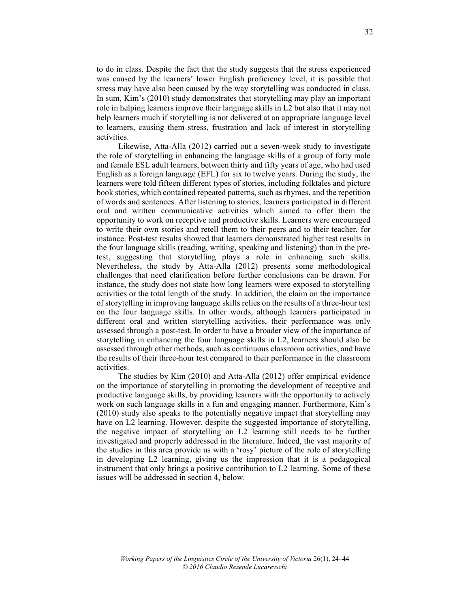to do in class. Despite the fact that the study suggests that the stress experienced was caused by the learners' lower English proficiency level, it is possible that stress may have also been caused by the way storytelling was conducted in class. In sum, Kim's (2010) study demonstrates that storytelling may play an important role in helping learners improve their language skills in L2 but also that it may not help learners much if storytelling is not delivered at an appropriate language level to learners, causing them stress, frustration and lack of interest in storytelling activities.

Likewise, Atta-Alla (2012) carried out a seven-week study to investigate the role of storytelling in enhancing the language skills of a group of forty male and female ESL adult learners, between thirty and fifty years of age, who had used English as a foreign language (EFL) for six to twelve years. During the study, the learners were told fifteen different types of stories, including folktales and picture book stories, which contained repeated patterns, such as rhymes, and the repetition of words and sentences. After listening to stories, learners participated in different oral and written communicative activities which aimed to offer them the opportunity to work on receptive and productive skills. Learners were encouraged to write their own stories and retell them to their peers and to their teacher, for instance. Post-test results showed that learners demonstrated higher test results in the four language skills (reading, writing, speaking and listening) than in the pretest, suggesting that storytelling plays a role in enhancing such skills. Nevertheless, the study by Atta-Alla (2012) presents some methodological challenges that need clarification before further conclusions can be drawn. For instance, the study does not state how long learners were exposed to storytelling activities or the total length of the study. In addition, the claim on the importance of storytelling in improving language skills relies on the results of a three-hour test on the four language skills. In other words, although learners participated in different oral and written storytelling activities, their performance was only assessed through a post-test. In order to have a broader view of the importance of storytelling in enhancing the four language skills in L2, learners should also be assessed through other methods, such as continuous classroom activities, and have the results of their three-hour test compared to their performance in the classroom activities.

The studies by Kim (2010) and Atta-Alla (2012) offer empirical evidence on the importance of storytelling in promoting the development of receptive and productive language skills, by providing learners with the opportunity to actively work on such language skills in a fun and engaging manner. Furthermore, Kim's (2010) study also speaks to the potentially negative impact that storytelling may have on L2 learning. However, despite the suggested importance of storytelling, the negative impact of storytelling on L2 learning still needs to be further investigated and properly addressed in the literature. Indeed, the vast majority of the studies in this area provide us with a 'rosy' picture of the role of storytelling in developing L2 learning, giving us the impression that it is a pedagogical instrument that only brings a positive contribution to L2 learning. Some of these issues will be addressed in section 4, below.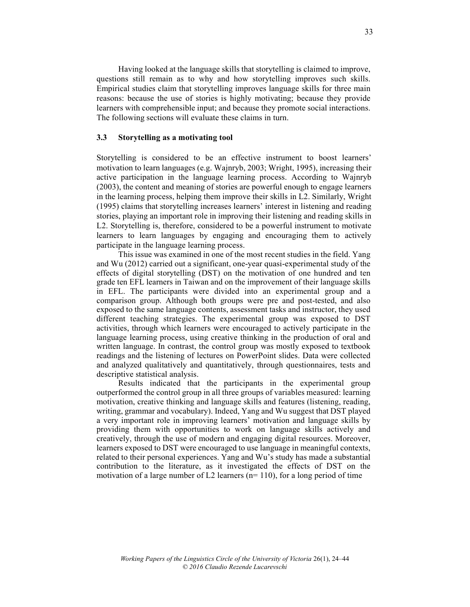Having looked at the language skills that storytelling is claimed to improve, questions still remain as to why and how storytelling improves such skills. Empirical studies claim that storytelling improves language skills for three main reasons: because the use of stories is highly motivating; because they provide learners with comprehensible input; and because they promote social interactions. The following sections will evaluate these claims in turn.

#### **3.3 Storytelling as a motivating tool**

Storytelling is considered to be an effective instrument to boost learners' motivation to learn languages (e.g. Wajnryb, 2003; Wright, 1995), increasing their active participation in the language learning process. According to Wajnryb (2003), the content and meaning of stories are powerful enough to engage learners in the learning process, helping them improve their skills in L2. Similarly, Wright (1995) claims that storytelling increases learners' interest in listening and reading stories, playing an important role in improving their listening and reading skills in L2. Storytelling is, therefore, considered to be a powerful instrument to motivate learners to learn languages by engaging and encouraging them to actively participate in the language learning process.

This issue was examined in one of the most recent studies in the field. Yang and Wu (2012) carried out a significant, one-year quasi-experimental study of the effects of digital storytelling (DST) on the motivation of one hundred and ten grade ten EFL learners in Taiwan and on the improvement of their language skills in EFL. The participants were divided into an experimental group and a comparison group. Although both groups were pre and post-tested, and also exposed to the same language contents, assessment tasks and instructor, they used different teaching strategies. The experimental group was exposed to DST activities, through which learners were encouraged to actively participate in the language learning process, using creative thinking in the production of oral and written language. In contrast, the control group was mostly exposed to textbook readings and the listening of lectures on PowerPoint slides. Data were collected and analyzed qualitatively and quantitatively, through questionnaires, tests and descriptive statistical analysis.

Results indicated that the participants in the experimental group outperformed the control group in all three groups of variables measured: learning motivation, creative thinking and language skills and features (listening, reading, writing, grammar and vocabulary). Indeed, Yang and Wu suggest that DST played a very important role in improving learners' motivation and language skills by providing them with opportunities to work on language skills actively and creatively, through the use of modern and engaging digital resources. Moreover, learners exposed to DST were encouraged to use language in meaningful contexts, related to their personal experiences. Yang and Wu's study has made a substantial contribution to the literature, as it investigated the effects of DST on the motivation of a large number of L2 learners ( $n=110$ ), for a long period of time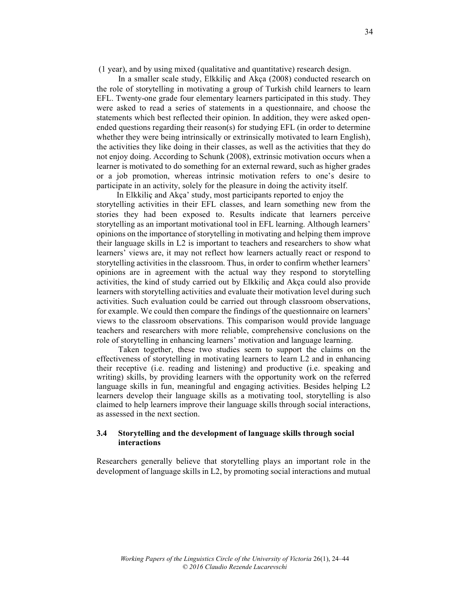(1 year), and by using mixed (qualitative and quantitative) research design.

In a smaller scale study, Elkkiliç and Akça (2008) conducted research on the role of storytelling in motivating a group of Turkish child learners to learn EFL. Twenty-one grade four elementary learners participated in this study. They were asked to read a series of statements in a questionnaire, and choose the statements which best reflected their opinion. In addition, they were asked openended questions regarding their reason(s) for studying EFL (in order to determine whether they were being intrinsically or extrinsically motivated to learn English), the activities they like doing in their classes, as well as the activities that they do not enjoy doing. According to Schunk (2008), extrinsic motivation occurs when a learner is motivated to do something for an external reward, such as higher grades or a job promotion, whereas intrinsic motivation refers to one's desire to participate in an activity, solely for the pleasure in doing the activity itself.

In Elkkiliç and Akça' study, most participants reported to enjoy the storytelling activities in their EFL classes, and learn something new from the stories they had been exposed to. Results indicate that learners perceive storytelling as an important motivational tool in EFL learning. Although learners' opinions on the importance of storytelling in motivating and helping them improve their language skills in L2 is important to teachers and researchers to show what learners' views are, it may not reflect how learners actually react or respond to storytelling activities in the classroom. Thus, in order to confirm whether learners' opinions are in agreement with the actual way they respond to storytelling activities, the kind of study carried out by Elkkiliç and Akça could also provide learners with storytelling activities and evaluate their motivation level during such activities. Such evaluation could be carried out through classroom observations, for example. We could then compare the findings of the questionnaire on learners' views to the classroom observations. This comparison would provide language teachers and researchers with more reliable, comprehensive conclusions on the role of storytelling in enhancing learners' motivation and language learning.

Taken together, these two studies seem to support the claims on the effectiveness of storytelling in motivating learners to learn L2 and in enhancing their receptive (i.e. reading and listening) and productive (i.e. speaking and writing) skills, by providing learners with the opportunity work on the referred language skills in fun, meaningful and engaging activities. Besides helping L2 learners develop their language skills as a motivating tool, storytelling is also claimed to help learners improve their language skills through social interactions, as assessed in the next section.

## **3.4 Storytelling and the development of language skills through social interactions**

Researchers generally believe that storytelling plays an important role in the development of language skills in L2, by promoting social interactions and mutual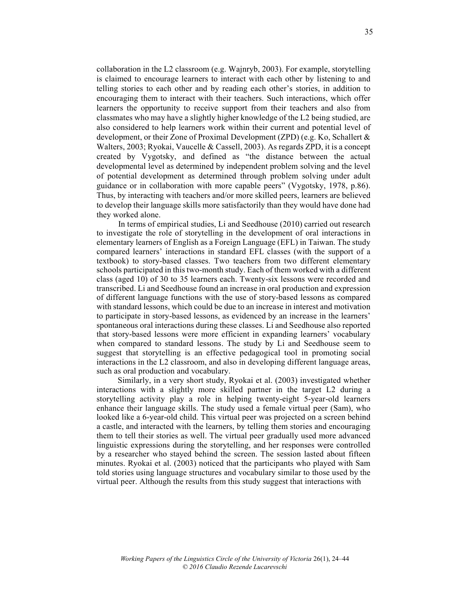collaboration in the L2 classroom (e.g. Wajnryb, 2003). For example, storytelling is claimed to encourage learners to interact with each other by listening to and telling stories to each other and by reading each other's stories, in addition to encouraging them to interact with their teachers. Such interactions, which offer learners the opportunity to receive support from their teachers and also from classmates who may have a slightly higher knowledge of the L2 being studied, are also considered to help learners work within their current and potential level of development, or their Zone of Proximal Development (ZPD) (e.g. Ko, Schallert & Walters, 2003; Ryokai, Vaucelle & Cassell, 2003). As regards ZPD, it is a concept created by Vygotsky, and defined as "the distance between the actual developmental level as determined by independent problem solving and the level of potential development as determined through problem solving under adult guidance or in collaboration with more capable peers" (Vygotsky, 1978, p.86). Thus, by interacting with teachers and/or more skilled peers, learners are believed to develop their language skills more satisfactorily than they would have done had they worked alone.

In terms of empirical studies, Li and Seedhouse (2010) carried out research to investigate the role of storytelling in the development of oral interactions in elementary learners of English as a Foreign Language (EFL) in Taiwan. The study compared learners' interactions in standard EFL classes (with the support of a textbook) to story-based classes. Two teachers from two different elementary schools participated in this two-month study. Each of them worked with a different class (aged 10) of 30 to 35 learners each. Twenty-six lessons were recorded and transcribed. Li and Seedhouse found an increase in oral production and expression of different language functions with the use of story-based lessons as compared with standard lessons, which could be due to an increase in interest and motivation to participate in story-based lessons, as evidenced by an increase in the learners' spontaneous oral interactions during these classes. Li and Seedhouse also reported that story-based lessons were more efficient in expanding learners' vocabulary when compared to standard lessons. The study by Li and Seedhouse seem to suggest that storytelling is an effective pedagogical tool in promoting social interactions in the L2 classroom, and also in developing different language areas, such as oral production and vocabulary.

Similarly, in a very short study, Ryokai et al. (2003) investigated whether interactions with a slightly more skilled partner in the target L2 during a storytelling activity play a role in helping twenty-eight 5-year-old learners enhance their language skills. The study used a female virtual peer (Sam), who looked like a 6-year-old child. This virtual peer was projected on a screen behind a castle, and interacted with the learners, by telling them stories and encouraging them to tell their stories as well. The virtual peer gradually used more advanced linguistic expressions during the storytelling, and her responses were controlled by a researcher who stayed behind the screen. The session lasted about fifteen minutes. Ryokai et al. (2003) noticed that the participants who played with Sam told stories using language structures and vocabulary similar to those used by the virtual peer. Although the results from this study suggest that interactions with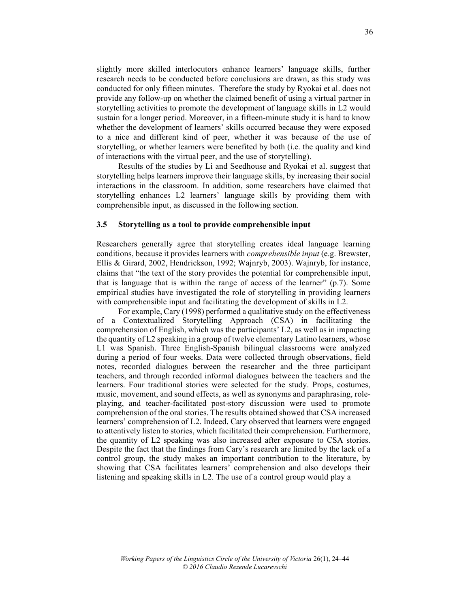slightly more skilled interlocutors enhance learners' language skills, further research needs to be conducted before conclusions are drawn, as this study was conducted for only fifteen minutes. Therefore the study by Ryokai et al. does not provide any follow-up on whether the claimed benefit of using a virtual partner in storytelling activities to promote the development of language skills in L2 would sustain for a longer period. Moreover, in a fifteen-minute study it is hard to know whether the development of learners' skills occurred because they were exposed to a nice and different kind of peer, whether it was because of the use of storytelling, or whether learners were benefited by both (i.e. the quality and kind of interactions with the virtual peer, and the use of storytelling).

Results of the studies by Li and Seedhouse and Ryokai et al. suggest that storytelling helps learners improve their language skills, by increasing their social interactions in the classroom. In addition, some researchers have claimed that storytelling enhances L2 learners' language skills by providing them with comprehensible input, as discussed in the following section.

#### **3.5 Storytelling as a tool to provide comprehensible input**

Researchers generally agree that storytelling creates ideal language learning conditions, because it provides learners with *comprehensible input* (e.g. Brewster, Ellis & Girard, 2002, Hendrickson, 1992; Wajnryb, 2003). Wajnryb, for instance, claims that "the text of the story provides the potential for comprehensible input, that is language that is within the range of access of the learner" (p.7). Some empirical studies have investigated the role of storytelling in providing learners with comprehensible input and facilitating the development of skills in L2.

For example, Cary (1998) performed a qualitative study on the effectiveness of a Contextualized Storytelling Approach (CSA) in facilitating the comprehension of English, which was the participants' L2, as well as in impacting the quantity of L2 speaking in a group of twelve elementary Latino learners, whose L1 was Spanish. Three English-Spanish bilingual classrooms were analyzed during a period of four weeks. Data were collected through observations, field notes, recorded dialogues between the researcher and the three participant teachers, and through recorded informal dialogues between the teachers and the learners. Four traditional stories were selected for the study. Props, costumes, music, movement, and sound effects, as well as synonyms and paraphrasing, roleplaying, and teacher-facilitated post-story discussion were used to promote comprehension of the oral stories. The results obtained showed that CSA increased learners' comprehension of L2. Indeed, Cary observed that learners were engaged to attentively listen to stories, which facilitated their comprehension. Furthermore, the quantity of L2 speaking was also increased after exposure to CSA stories. Despite the fact that the findings from Cary's research are limited by the lack of a control group, the study makes an important contribution to the literature, by showing that CSA facilitates learners' comprehension and also develops their listening and speaking skills in L2. The use of a control group would play a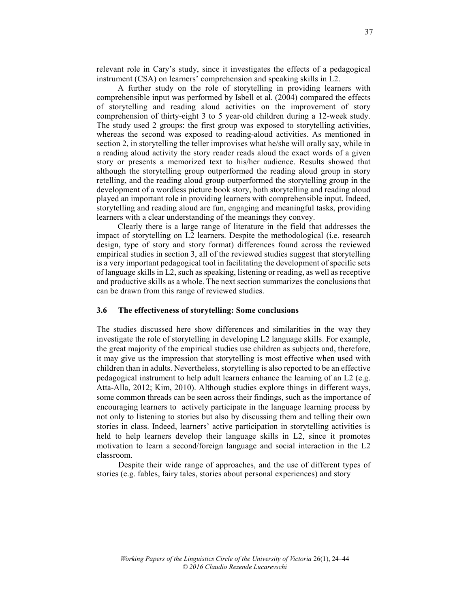relevant role in Cary's study, since it investigates the effects of a pedagogical instrument (CSA) on learners' comprehension and speaking skills in L2.

A further study on the role of storytelling in providing learners with comprehensible input was performed by Isbell et al. (2004) compared the effects of storytelling and reading aloud activities on the improvement of story comprehension of thirty-eight 3 to 5 year-old children during a 12-week study. The study used 2 groups: the first group was exposed to storytelling activities, whereas the second was exposed to reading-aloud activities. As mentioned in section 2, in storytelling the teller improvises what he/she will orally say, while in a reading aloud activity the story reader reads aloud the exact words of a given story or presents a memorized text to his/her audience. Results showed that although the storytelling group outperformed the reading aloud group in story retelling, and the reading aloud group outperformed the storytelling group in the development of a wordless picture book story, both storytelling and reading aloud played an important role in providing learners with comprehensible input. Indeed, storytelling and reading aloud are fun, engaging and meaningful tasks, providing learners with a clear understanding of the meanings they convey.

Clearly there is a large range of literature in the field that addresses the impact of storytelling on L2 learners. Despite the methodological (i.e. research design, type of story and story format) differences found across the reviewed empirical studies in section 3, all of the reviewed studies suggest that storytelling is a very important pedagogical tool in facilitating the development of specific sets of language skills in L2, such as speaking, listening or reading, as well as receptive and productive skills as a whole. The next section summarizes the conclusions that can be drawn from this range of reviewed studies.

## **3.6 The effectiveness of storytelling: Some conclusions**

The studies discussed here show differences and similarities in the way they investigate the role of storytelling in developing L2 language skills. For example, the great majority of the empirical studies use children as subjects and, therefore, it may give us the impression that storytelling is most effective when used with children than in adults. Nevertheless, storytelling is also reported to be an effective pedagogical instrument to help adult learners enhance the learning of an L2 (e.g. Atta-Alla, 2012; Kim, 2010). Although studies explore things in different ways, some common threads can be seen across their findings, such as the importance of encouraging learners to actively participate in the language learning process by not only to listening to stories but also by discussing them and telling their own stories in class. Indeed, learners' active participation in storytelling activities is held to help learners develop their language skills in L2, since it promotes motivation to learn a second/foreign language and social interaction in the L2 classroom.

Despite their wide range of approaches, and the use of different types of stories (e.g. fables, fairy tales, stories about personal experiences) and story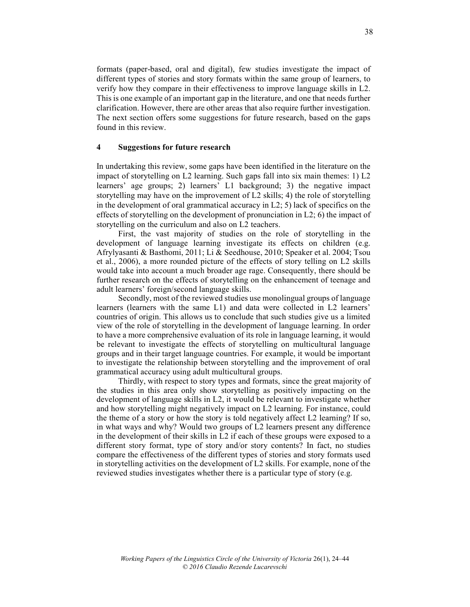formats (paper-based, oral and digital), few studies investigate the impact of different types of stories and story formats within the same group of learners, to verify how they compare in their effectiveness to improve language skills in L2. This is one example of an important gap in the literature, and one that needs further clarification. However, there are other areas that also require further investigation. The next section offers some suggestions for future research, based on the gaps found in this review.

## **4 Suggestions for future research**

In undertaking this review, some gaps have been identified in the literature on the impact of storytelling on L2 learning. Such gaps fall into six main themes: 1) L2 learners' age groups; 2) learners' L1 background; 3) the negative impact storytelling may have on the improvement of L2 skills; 4) the role of storytelling in the development of oral grammatical accuracy in L2; 5) lack of specifics on the effects of storytelling on the development of pronunciation in  $L2$ ; 6) the impact of storytelling on the curriculum and also on L2 teachers.

First, the vast majority of studies on the role of storytelling in the development of language learning investigate its effects on children (e.g. Afrylyasanti & Basthomi, 2011; Li & Seedhouse, 2010; Speaker et al. 2004; Tsou et al., 2006), a more rounded picture of the effects of story telling on L2 skills would take into account a much broader age rage. Consequently, there should be further research on the effects of storytelling on the enhancement of teenage and adult learners' foreign/second language skills.

Secondly, most of the reviewed studies use monolingual groups of language learners (learners with the same L1) and data were collected in L2 learners' countries of origin. This allows us to conclude that such studies give us a limited view of the role of storytelling in the development of language learning. In order to have a more comprehensive evaluation of its role in language learning, it would be relevant to investigate the effects of storytelling on multicultural language groups and in their target language countries. For example, it would be important to investigate the relationship between storytelling and the improvement of oral grammatical accuracy using adult multicultural groups.

Thirdly, with respect to story types and formats, since the great majority of the studies in this area only show storytelling as positively impacting on the development of language skills in L2, it would be relevant to investigate whether and how storytelling might negatively impact on L2 learning. For instance, could the theme of a story or how the story is told negatively affect L2 learning? If so, in what ways and why? Would two groups of L2 learners present any difference in the development of their skills in L2 if each of these groups were exposed to a different story format, type of story and/or story contents? In fact, no studies compare the effectiveness of the different types of stories and story formats used in storytelling activities on the development of L2 skills. For example, none of the reviewed studies investigates whether there is a particular type of story (e.g.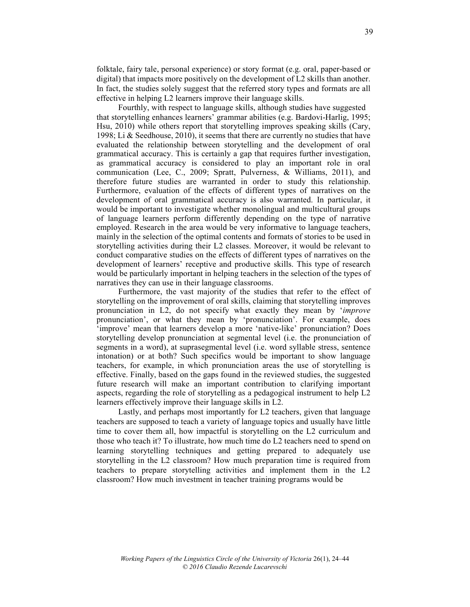folktale, fairy tale, personal experience) or story format (e.g. oral, paper-based or digital) that impacts more positively on the development of L2 skills than another. In fact, the studies solely suggest that the referred story types and formats are all effective in helping L2 learners improve their language skills.

Fourthly, with respect to language skills, although studies have suggested that storytelling enhances learners' grammar abilities (e.g. Bardovi-Harlig, 1995; Hsu, 2010) while others report that storytelling improves speaking skills (Cary, 1998; Li & Seedhouse, 2010), it seems that there are currently no studies that have evaluated the relationship between storytelling and the development of oral grammatical accuracy. This is certainly a gap that requires further investigation, as grammatical accuracy is considered to play an important role in oral communication (Lee, C., 2009; Spratt, Pulverness, & Williams, 2011), and therefore future studies are warranted in order to study this relationship. Furthermore, evaluation of the effects of different types of narratives on the development of oral grammatical accuracy is also warranted. In particular, it would be important to investigate whether monolingual and multicultural groups of language learners perform differently depending on the type of narrative employed. Research in the area would be very informative to language teachers, mainly in the selection of the optimal contents and formats of stories to be used in storytelling activities during their L2 classes. Moreover, it would be relevant to conduct comparative studies on the effects of different types of narratives on the development of learners' receptive and productive skills. This type of research would be particularly important in helping teachers in the selection of the types of narratives they can use in their language classrooms.

Furthermore, the vast majority of the studies that refer to the effect of storytelling on the improvement of oral skills, claiming that storytelling improves pronunciation in L2, do not specify what exactly they mean by '*improve* pronunciation', or what they mean by 'pronunciation'. For example, does 'improve' mean that learners develop a more 'native-like' pronunciation? Does storytelling develop pronunciation at segmental level (i.e. the pronunciation of segments in a word), at suprasegmental level (i.e. word syllable stress, sentence intonation) or at both? Such specifics would be important to show language teachers, for example, in which pronunciation areas the use of storytelling is effective. Finally, based on the gaps found in the reviewed studies, the suggested future research will make an important contribution to clarifying important aspects, regarding the role of storytelling as a pedagogical instrument to help L2 learners effectively improve their language skills in L2.

Lastly, and perhaps most importantly for L2 teachers, given that language teachers are supposed to teach a variety of language topics and usually have little time to cover them all, how impactful is storytelling on the L2 curriculum and those who teach it? To illustrate, how much time do L2 teachers need to spend on learning storytelling techniques and getting prepared to adequately use storytelling in the L2 classroom? How much preparation time is required from teachers to prepare storytelling activities and implement them in the L2 classroom? How much investment in teacher training programs would be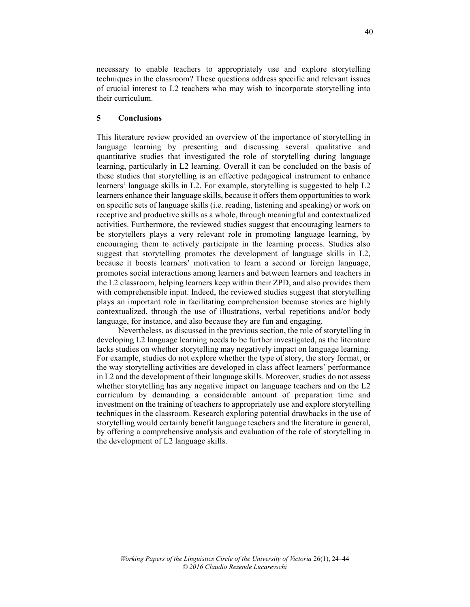necessary to enable teachers to appropriately use and explore storytelling techniques in the classroom? These questions address specific and relevant issues of crucial interest to L2 teachers who may wish to incorporate storytelling into their curriculum.

# **5 Conclusions**

This literature review provided an overview of the importance of storytelling in language learning by presenting and discussing several qualitative and quantitative studies that investigated the role of storytelling during language learning, particularly in L2 learning. Overall it can be concluded on the basis of these studies that storytelling is an effective pedagogical instrument to enhance learners' language skills in L2. For example, storytelling is suggested to help L2 learners enhance their language skills, because it offers them opportunities to work on specific sets of language skills (i.e. reading, listening and speaking) or work on receptive and productive skills as a whole, through meaningful and contextualized activities. Furthermore, the reviewed studies suggest that encouraging learners to be storytellers plays a very relevant role in promoting language learning, by encouraging them to actively participate in the learning process. Studies also suggest that storytelling promotes the development of language skills in L2, because it boosts learners' motivation to learn a second or foreign language, promotes social interactions among learners and between learners and teachers in the L2 classroom, helping learners keep within their ZPD, and also provides them with comprehensible input. Indeed, the reviewed studies suggest that storytelling plays an important role in facilitating comprehension because stories are highly contextualized, through the use of illustrations, verbal repetitions and/or body language, for instance, and also because they are fun and engaging.

Nevertheless, as discussed in the previous section, the role of storytelling in developing L2 language learning needs to be further investigated, as the literature lacks studies on whether storytelling may negatively impact on language learning. For example, studies do not explore whether the type of story, the story format, or the way storytelling activities are developed in class affect learners' performance in L2 and the development of their language skills. Moreover, studies do not assess whether storytelling has any negative impact on language teachers and on the L2 curriculum by demanding a considerable amount of preparation time and investment on the training of teachers to appropriately use and explore storytelling techniques in the classroom. Research exploring potential drawbacks in the use of storytelling would certainly benefit language teachers and the literature in general, by offering a comprehensive analysis and evaluation of the role of storytelling in the development of L2 language skills.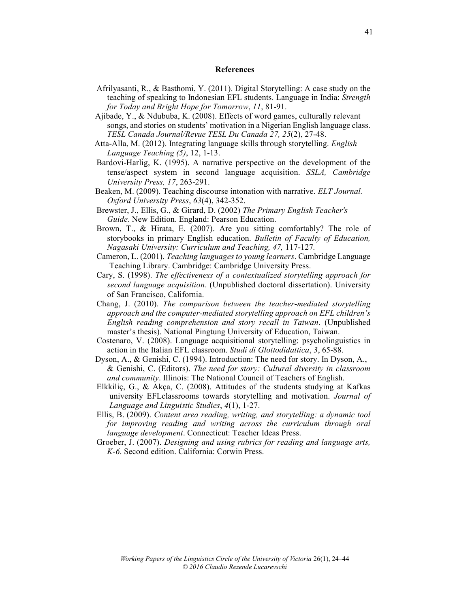#### **References**

- Afrilyasanti, R., & Basthomi, Y. (2011). Digital Storytelling: A case study on the teaching of speaking to Indonesian EFL students. Language in India: *Strength for Today and Bright Hope for Tomorrow*, *11*, 81-91.
- Ajibade, Y., & Ndububa, K. (2008). Effects of word games, culturally relevant songs, and stories on students' motivation in a Nigerian English language class. *TESL Canada Journal/Revue TESL Du Canada 27, 25*(2), 27-48.
- Atta-Alla, M. (2012). Integrating language skills through storytelling. *English Language Teaching (5)*, 12, 1-13.
- Bardovi-Harlig, K. (1995). A narrative perspective on the development of the tense/aspect system in second language acquisition. *SSLA, Cambridge University Press, 17*, 263-291.
- Beaken, M. (2009). Teaching discourse intonation with narrative. *ELT Journal. Oxford University Press*, *63*(4), 342-352.
- Brewster, J., Ellis, G., & Girard, D. (2002) *The Primary English Teacher's Guide*. New Edition. England: Pearson Education.
- Brown, T., & Hirata, E. (2007). Are you sitting comfortably? The role of storybooks in primary English education. *Bulletin of Faculty of Education, Nagasaki University: Curriculum and Teaching, 47,* 117-127*.*
- Cameron, L. (2001). *Teaching languages to young learners*. Cambridge Language Teaching Library. Cambridge: Cambridge University Press.
- Cary, S. (1998). *The effectiveness of a contextualized storytelling approach for second language acquisition*. (Unpublished doctoral dissertation). University of San Francisco, California.
- Chang, J. (2010). *The comparison between the teacher-mediated storytelling approach and the computer-mediated storytelling approach on EFL children's English reading comprehension and story recall in Taiwan*. (Unpublished master's thesis). National Pingtung University of Education, Taiwan.
- Costenaro, V. (2008). Language acquisitional storytelling: psycholinguistics in action in the Italian EFL classroom. *Studi di Glottodidattica*, *3*, 65-88.
- Dyson, A., & Genishi, C. (1994). Introduction: The need for story. In Dyson, A., & Genishi, C. (Editors). *The need for story: Cultural diversity in classroom and community*. Illinois: The National Council of Teachers of English.
- Elkkiliç, G., & Akça, C. (2008). Attitudes of the students studying at Kafkas university EFLclassrooms towards storytelling and motivation. *Journal of Language and Linguistic Studies*, *4*(1), 1-27.
- Ellis, B. (2009). *Content area reading, writing, and storytelling: a dynamic tool for improving reading and writing across the curriculum through oral language development*. Connecticut: Teacher Ideas Press.
- Groeber, J. (2007). *Designing and using rubrics for reading and language arts, K-6*. Second edition. California: Corwin Press.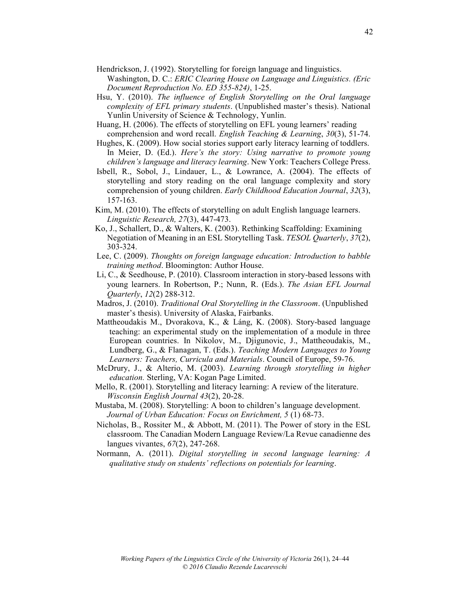Hendrickson, J. (1992). Storytelling for foreign language and linguistics.

- Washington, D. C.: *ERIC Clearing House on Language and Linguistics. (Eric Document Reproduction No. ED 355-824)*, 1-25.
- Hsu, Y. (2010). *The influence of English Storytelling on the Oral language complexity of EFL primary students*. (Unpublished master's thesis). National Yunlin University of Science & Technology, Yunlin.
- Huang, H. (2006). The effects of storytelling on EFL young learners' reading comprehension and word recall. *English Teaching & Learning*, *30*(3), 51-74.
- Hughes, K. (2009). How social stories support early literacy learning of toddlers. In Meier, D. (Ed.). *Here's the story: Using narrative to promote young children's language and literacy learning*. New York: Teachers College Press.
- Isbell, R., Sobol, J., Lindauer, L., & Lowrance, A. (2004). The effects of storytelling and story reading on the oral language complexity and story comprehension of young children. *Early Childhood Education Journal*, *32*(3), 157-163.
- Kim, M. (2010). The effects of storytelling on adult English language learners. *Linguistic Research, 27*(3), 447-473.
- Ko, J., Schallert, D., & Walters, K. (2003). Rethinking Scaffolding: Examining Negotiation of Meaning in an ESL Storytelling Task. *TESOL Quarterly*, *37*(2), 303-324.
- Lee, C. (2009). *Thoughts on foreign language education: Introduction to babble training method*. Bloomington: Author House.
- Li, C., & Seedhouse, P. (2010). Classroom interaction in story-based lessons with young learners. In Robertson, P.; Nunn, R. (Eds.). *The Asian EFL Journal Quarterly*, *12*(2) 288-312.
- Madros, J. (2010). *Traditional Oral Storytelling in the Classroom*. (Unpublished master's thesis). University of Alaska, Fairbanks.
- Mattheoudakis M., Dvorakova, K., & Láng, K. (2008). Story-based language teaching: an experimental study on the implementation of a module in three European countries. In Nikolov, M., Djigunovic, J., Mattheoudakis, M., Lundberg, G., & Flanagan, T. (Eds.). *Teaching Modern Languages to Young Learners: Teachers, Curricula and Materials*. Council of Europe, 59-76.
- McDrury, J., & Alterio, M. (2003). *Learning through storytelling in higher education.* Sterling, VA: Kogan Page Limited.
- Mello, R. (2001). Storytelling and literacy learning: A review of the literature. *Wisconsin English Journal 43*(2), 20-28.
- Mustaba, M. (2008). Storytelling: A boon to children's language development. *Journal of Urban Education: Focus on Enrichment, 5* (1) 68-73.
- Nicholas, B., Rossiter M., & Abbott, M. (2011). The Power of story in the ESL classroom. The Canadian Modern Language Review/La Revue canadienne des langues vivantes, *67*(2), 247-268.
- Normann, A. (2011). *Digital storytelling in second language learning: A qualitative study on students' reflections on potentials for learning*.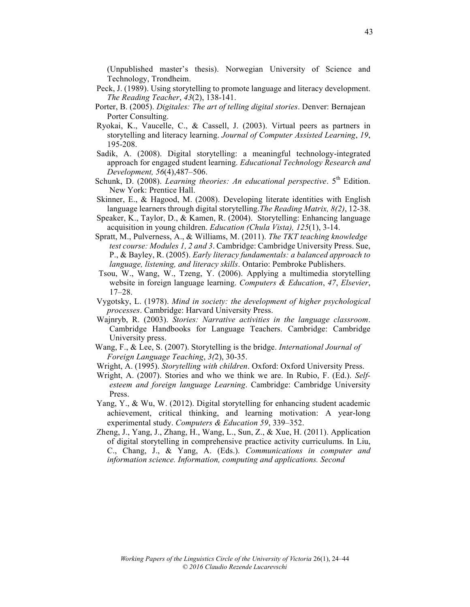(Unpublished master's thesis). Norwegian University of Science and Technology, Trondheim.

- Peck, J. (1989). Using storytelling to promote language and literacy development. *The Reading Teacher*, *43*(2), 138-141.
- Porter, B. (2005). *Digitales: The art of telling digital stories*. Denver: Bernajean Porter Consulting.
- Ryokai, K., Vaucelle, C., & Cassell, J. (2003). Virtual peers as partners in storytelling and literacy learning. *Journal of Computer Assisted Learning*, *19*, 195-208.
- Sadik, A. (2008). Digital storytelling: a meaningful technology-integrated approach for engaged student learning. *Educational Technology Research and Development, 56*(4),487–506.
- Schunk, D. (2008). *Learning theories: An educational perspective*. 5<sup>th</sup> Edition. New York: Prentice Hall.
- Skinner, E., & Hagood, M. (2008). Developing literate identities with English language learners through digital storytelling.*The Reading Matrix, 8(2)*, 12-38.
- Speaker, K., Taylor, D., & Kamen, R. (2004). Storytelling: Enhancing language acquisition in young children. *Education (Chula Vista), 125*(1), 3-14.
- Spratt, M., Pulverness, A., & Williams, M. (2011). *The TKT teaching knowledge test course: Modules 1, 2 and 3*. Cambridge: Cambridge University Press. Sue, P., & Bayley, R. (2005). *Early literacy fundamentals: a balanced approach to language, listening, and literacy skills*. Ontario: Pembroke Publishers.
- Tsou, W., Wang, W., Tzeng, Y. (2006). Applying a multimedia storytelling website in foreign language learning. *Computers & Education*, *47*, *Elsevier*, 17–28.
- Vygotsky, L. (1978). *Mind in society: the development of higher psychological processes*. Cambridge: Harvard University Press.
- Wajnryb, R. (2003). *Stories: Narrative activities in the language classroom*. Cambridge Handbooks for Language Teachers. Cambridge: Cambridge University press.
- Wang, F., & Lee, S. (2007). Storytelling is the bridge. *International Journal of Foreign Language Teaching*, *3(*2), 30-35.
- Wright, A. (1995). *Storytelling with children*. Oxford: Oxford University Press.
- Wright, A. (2007). Stories and who we think we are. In Rubio, F. (Ed.). *Selfesteem and foreign language Learning*. Cambridge: Cambridge University Press.
- Yang, Y., & Wu, W. (2012). Digital storytelling for enhancing student academic achievement, critical thinking, and learning motivation: A year-long experimental study. *Computers & Education 59*, 339–352.
- Zheng, J., Yang, J., Zhang, H., Wang, L., Sun, Z., & Xue, H. (2011). Application of digital storytelling in comprehensive practice activity curriculums. In Liu, C., Chang, J., & Yang, A. (Eds.). *Communications in computer and information science. Information, computing and applications. Second*